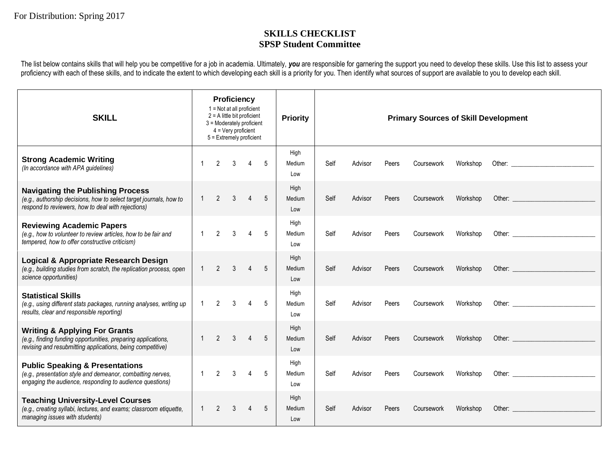## **SKILLS CHECKLIST SPSP Student Committee**

The list below contains skills that will help you be competitive for a job in academia. Ultimately, *you* are responsible for garnering the support you need to develop these skills. Use this list to assess your proficiency with each of these skills, and to indicate the extent to which developing each skill is a priority for you. Then identify what sources of support are available to you to develop each skill.

| <b>SKILL</b>                                                                                                                                                            | Proficiency<br>$1 = Not$ at all proficient<br>$2 = A$ little bit proficient<br>3 = Moderately proficient<br>$4 = \text{Very proficient}$<br>5 = Extremely proficient |                |               |                |                | <b>Priority</b>       | <b>Primary Sources of Skill Development</b> |         |       |            |          |                                                                                                                                                                                                                                |
|-------------------------------------------------------------------------------------------------------------------------------------------------------------------------|----------------------------------------------------------------------------------------------------------------------------------------------------------------------|----------------|---------------|----------------|----------------|-----------------------|---------------------------------------------|---------|-------|------------|----------|--------------------------------------------------------------------------------------------------------------------------------------------------------------------------------------------------------------------------------|
| <b>Strong Academic Writing</b><br>(In accordance with APA guidelines)                                                                                                   | $\mathbf{1}$                                                                                                                                                         | $\overline{2}$ | $\mathcal{S}$ | $\overline{4}$ | 5              | High<br>Medium<br>Low | Self                                        | Advisor | Peers | Coursework | Workshop | Other: and the contract of the contract of the contract of the contract of the contract of the contract of the contract of the contract of the contract of the contract of the contract of the contract of the contract of the |
| <b>Navigating the Publishing Process</b><br>(e.g., authorship decisions, how to select target journals, how to<br>respond to reviewers, how to deal with rejections)    | $\mathbf{1}$                                                                                                                                                         | $\overline{2}$ | 3             | $\overline{4}$ | 5              | High<br>Medium<br>Low | Self                                        | Advisor | Peers | Coursework | Workshop |                                                                                                                                                                                                                                |
| <b>Reviewing Academic Papers</b><br>(e.g., how to volunteer to review articles, how to be fair and<br>tempered, how to offer constructive criticism)                    | $\mathbf{1}$                                                                                                                                                         | 2              | 3             | 4              | 5              | High<br>Medium<br>Low | Self                                        | Advisor | Peers | Coursework | Workshop |                                                                                                                                                                                                                                |
| Logical & Appropriate Research Design<br>(e.g., building studies from scratch, the replication process, open<br>science opportunities)                                  | $\mathbf{1}$                                                                                                                                                         | $\mathcal{P}$  | $\mathcal{S}$ | $\overline{4}$ | $\overline{5}$ | High<br>Medium<br>Low | Self                                        | Advisor | Peers | Coursework | Workshop |                                                                                                                                                                                                                                |
| <b>Statistical Skills</b><br>(e.g., using different stats packages, running analyses, writing up<br>results, clear and responsible reporting)                           | $\mathbf{1}$                                                                                                                                                         | $\overline{2}$ | 3             | 4              | 5              | High<br>Medium<br>Low | Self                                        | Advisor | Peers | Coursework | Workshop | Other: New York Products and the Contract of the Contract of the Contract of the Contract of the Contract of the Contract of the Contract of the Contract of the Contract of the Contract of the Contract of the Contract of t |
| <b>Writing &amp; Applying For Grants</b><br>(e.g., finding funding opportunities, preparing applications,<br>revising and resubmitting applications, being competitive) | $\mathbf{1}$                                                                                                                                                         | $\mathcal{P}$  | $\mathcal{S}$ | $\overline{A}$ | $\overline{5}$ | High<br>Medium<br>Low | Self                                        | Advisor | Peers | Coursework | Workshop |                                                                                                                                                                                                                                |
| <b>Public Speaking &amp; Presentations</b><br>(e.g., presentation style and demeanor, combatting nerves,<br>engaging the audience, responding to audience questions)    | $\mathbf{1}$                                                                                                                                                         | $\mathfrak{D}$ | $\mathcal{S}$ |                | 5              | High<br>Medium<br>Low | Self                                        | Advisor | Peers | Coursework | Workshop | Other: New York Products and the Contract of the Contract of the Contract of the Contract of the Contract of the Contract of the Contract of the Contract of the Contract of the Contract of the Contract of the Contract of t |
| <b>Teaching University-Level Courses</b><br>(e.g., creating syllabi, lectures, and exams; classroom etiquette,<br>managing issues with students)                        |                                                                                                                                                                      | $\mathfrak{p}$ | 3             |                | 5              | High<br>Medium<br>Low | Self                                        | Advisor | Peers | Coursework | Workshop | Other: New York Products and Security and Security and Security and Security and Security and Security and Security and Security and Security and Security and Security and Security and Security and Security and Security an |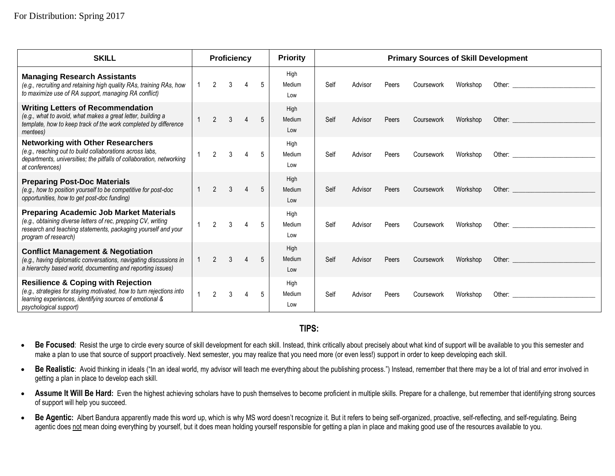| <b>SKILL</b>                                                                                                                                                                                                | Proficiency    |                |               |                |             | <b>Priority</b>       | <b>Primary Sources of Skill Development</b> |         |       |            |          |                                                                                                                                                                                                                                |
|-------------------------------------------------------------------------------------------------------------------------------------------------------------------------------------------------------------|----------------|----------------|---------------|----------------|-------------|-----------------------|---------------------------------------------|---------|-------|------------|----------|--------------------------------------------------------------------------------------------------------------------------------------------------------------------------------------------------------------------------------|
| <b>Managing Research Assistants</b><br>(e.g., recruiting and retaining high quality RAs, training RAs, how<br>to maximize use of RA support, managing RA conflict)                                          | $\mathbf{1}$   | 2              | 3             |                | 5           | High<br>Medium<br>Low | Self                                        | Advisor | Peers | Coursework | Workshop | Other: the contract of the contract of the contract of the contract of the contract of the contract of the contract of the contract of the contract of the contract of the contract of the contract of the contract of the con |
| <b>Writing Letters of Recommendation</b><br>(e.g., what to avoid, what makes a great letter, building a<br>template, how to keep track of the work completed by difference<br><i>mentees</i> )              |                | $\overline{2}$ | $\mathcal{S}$ | $\overline{4}$ | 5           | High<br>Medium<br>Low | Self                                        | Advisor | Peers | Coursework | Workshop | Other: the contract of the contract of the contract of the contract of the contract of the contract of the contract of the contract of the contract of the contract of the contract of the contract of the contract of the con |
| <b>Networking with Other Researchers</b><br>(e.g., reaching out to build collaborations across labs,<br>departments, universities; the pitfalls of collaboration, networking<br>at conferences)             |                | $2^{\circ}$    | $\mathbf{3}$  | $\overline{4}$ | $5^{\circ}$ | High<br>Medium<br>Low | Self                                        | Advisor | Peers | Coursework | Workshop | Other: the contract of the contract of the contract of the contract of the contract of the contract of the contract of the contract of the contract of the contract of the contract of the contract of the contract of the con |
| <b>Preparing Post-Doc Materials</b><br>(e.g., how to position yourself to be competitive for post-doc<br>opportunities, how to get post-doc funding)                                                        |                | $\mathcal{P}$  | $\mathcal{S}$ |                | 5           | High<br>Medium<br>Low | Self                                        | Advisor | Peers | Coursework | Workshop | Other: the contract of the contract of the contract of the contract of the contract of the contract of the contract of the contract of the contract of the contract of the contract of the contract of the contract of the con |
| <b>Preparing Academic Job Market Materials</b><br>(e.g., obtaining diverse letters of rec, prepping CV, writing<br>research and teaching statements, packaging yourself and your<br>program of research)    | $\overline{1}$ | 2              | $\mathbf{3}$  | $\overline{4}$ | 5           | High<br>Medium<br>Low | Self                                        | Advisor | Peers | Coursework | Workshop | Other: and the contract of the contract of the contract of the contract of the contract of the contract of the contract of the contract of the contract of the contract of the contract of the contract of the contract of the |
| <b>Conflict Management &amp; Negotiation</b><br>(e.g., having diplomatic conversations, navigating discussions in<br>a hierarchy based world, documenting and reporting issues)                             |                | $\mathfrak{p}$ | $\mathcal{S}$ |                | 5           | High<br>Medium<br>Low | Self                                        | Advisor | Peers | Coursework | Workshop | Other: the contract of the contract of the contract of the contract of the contract of the contract of the contract of the contract of the contract of the contract of the contract of the contract of the contract of the con |
| <b>Resilience &amp; Coping with Rejection</b><br>(e.g., strategies for staying motivated, how to turn rejections into<br>learning experiences, identifying sources of emotional &<br>psychological support) | $\overline{1}$ | $\mathfrak{p}$ | $\mathcal{S}$ |                | 5           | High<br>Medium<br>Low | Self                                        | Advisor | Peers | Coursework | Workshop |                                                                                                                                                                                                                                |

## **TIPS:**

• Be Focused: Resist the urge to circle every source of skill development for each skill. Instead, think critically about precisely about what kind of support will be available to you this semester and make a plan to use that source of support proactively. Next semester, you may realize that you need more (or even less!) support in order to keep developing each skill.

• Be Realistic: Avoid thinking in ideals ("In an ideal world, my advisor will teach me everything about the publishing process.") Instead, remember that there may be a lot of trial and error involved in getting a plan in place to develop each skill.

• Assume It Will Be Hard: Even the highest achieving scholars have to push themselves to become proficient in multiple skills. Prepare for a challenge, but remember that identifying strong sources of support will help you succeed.

• Be Agentic: Albert Bandura apparently made this word up, which is why MS word doesn't recognize it. But it refers to being self-organized, proactive, self-reflecting, and self-regulating. Being agentic does not mean doing everything by yourself, but it does mean holding yourself responsible for getting a plan in place and making good use of the resources available to you.